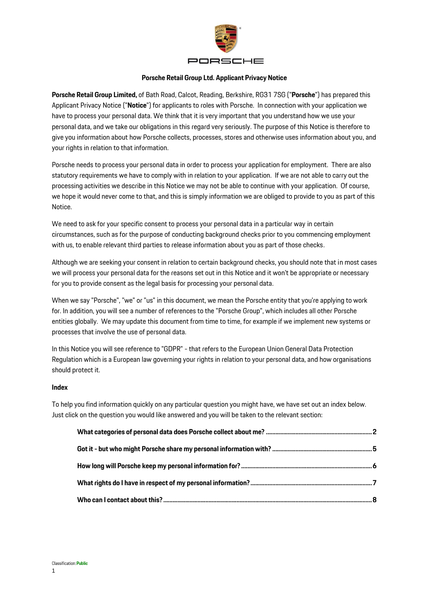

#### **Porsche Retail Group Ltd. Applicant Privacy Notice**

**Porsche Retail Group Limited,** of Bath Road, Calcot, Reading, Berkshire, RG31 7SG ("**Porsche**") has prepared this Applicant Privacy Notice ("**Notice**") for applicants to roles with Porsche. In connection with your application we have to process your personal data. We think that it is very important that you understand how we use your personal data, and we take our obligations in this regard very seriously. The purpose of this Notice is therefore to give you information about how Porsche collects, processes, stores and otherwise uses information about you, and your rights in relation to that information.

Porsche needs to process your personal data in order to process your application for employment. There are also statutory requirements we have to comply with in relation to your application. If we are not able to carry out the processing activities we describe in this Notice we may not be able to continue with your application. Of course, we hope it would never come to that, and this is simply information we are obliged to provide to you as part of this Notice.

We need to ask for your specific consent to process your personal data in a particular way in certain circumstances, such as for the purpose of conducting background checks prior to you commencing employment with us, to enable relevant third parties to release information about you as part of those checks.

Although we are seeking your consent in relation to certain background checks, you should note that in most cases we will process your personal data for the reasons set out in this Notice and it won't be appropriate or necessary for you to provide consent as the legal basis for processing your personal data.

When we say "Porsche", "we" or "us" in this document, we mean the Porsche entity that you're applying to work for. In addition, you will see a number of references to the "Porsche Group", which includes all other Porsche entities globally. We may update this document from time to time, for example if we implement new systems or processes that involve the use of personal data.

In this Notice you will see reference to "GDPR" - that refers to the European Union General Data Protection Regulation which is a European law governing your rights in relation to your personal data, and how organisations should protect it.

#### **Index**

To help you find information quickly on any particular question you might have, we have set out an index below. Just click on the question you would like answered and you will be taken to the relevant section: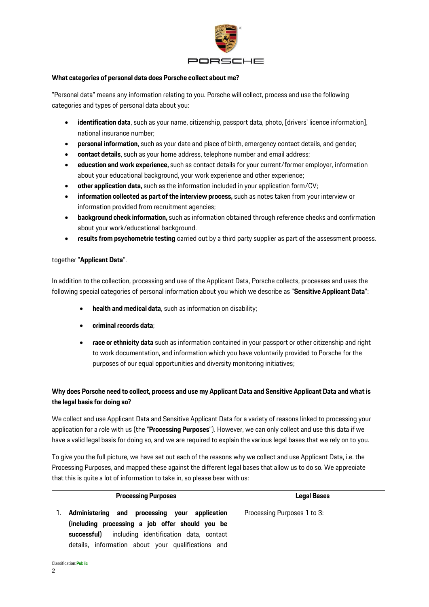

## <span id="page-1-0"></span>**What categories of personal data does Porsche collect about me?**

"Personal data" means any information relating to you. Porsche will collect, process and use the following categories and types of personal data about you:

- **identification data**, such as your name, citizenship, passport data, photo, [drivers' licence information], national insurance number;
- **personal information**, such as your date and place of birth, emergency contact details, and gender;
- **contact details**, such as your home address, telephone number and email address;
- **education and work experience,** such as contact details for your current/former employer, information about your educational background, your work experience and other experience;
- **other application data,** such as the information included in your application form/CV;
- **information collected as part of the interview process,** such as notes taken from your interview or information provided from recruitment agencies;
- **background check information,** such as information obtained through reference checks and confirmation about your work/educational background.
- **results from psychometric testing** carried out by a third party supplier as part of the assessment process.

# together "**Applicant Data**".

In addition to the collection, processing and use of the Applicant Data, Porsche collects, processes and uses the following special categories of personal information about you which we describe as "**Sensitive Applicant Data**":

- **health and medical data**, such as information on disability;
- **criminal records data**;
- **race or ethnicity data** such as information contained in your passport or other citizenship and right to work documentation, and information which you have voluntarily provided to Porsche for the purposes of our equal opportunities and diversity monitoring initiatives;

# **Why does Porsche need to collect, process and use my Applicant Data and Sensitive Applicant Data and what is the legal basis for doing so?**

We collect and use Applicant Data and Sensitive Applicant Data for a variety of reasons linked to processing your application for a role with us (the "**Processing Purposes**"). However, we can only collect and use this data if we have a valid legal basis for doing so, and we are required to explain the various legal bases that we rely on to you.

To give you the full picture, we have set out each of the reasons why we collect and use Applicant Data, i.e. the Processing Purposes, and mapped these against the different legal bases that allow us to do so. We appreciate that this is quite a lot of information to take in, so please bear with us:

| <b>Processing Purposes</b>                                                                                                                                                                                   | <b>Legal Bases</b>          |
|--------------------------------------------------------------------------------------------------------------------------------------------------------------------------------------------------------------|-----------------------------|
| Administering and processing your application<br>(including processing a job offer should you be<br>successful) including identification data, contact<br>details, information about your qualifications and | Processing Purposes 1 to 3: |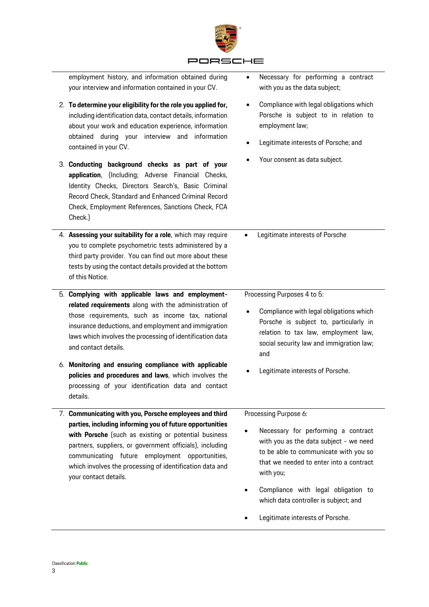

| employment history, and information obtained during<br>your interview and information contained in your CV.                                                                                                                                                                                                                                                                                                                                                                                                                                               | Necessary for performing a contract<br>$\bullet$<br>with you as the data subject;                                                                                                                                                                                                                                           |
|-----------------------------------------------------------------------------------------------------------------------------------------------------------------------------------------------------------------------------------------------------------------------------------------------------------------------------------------------------------------------------------------------------------------------------------------------------------------------------------------------------------------------------------------------------------|-----------------------------------------------------------------------------------------------------------------------------------------------------------------------------------------------------------------------------------------------------------------------------------------------------------------------------|
| 2. To determine your eligibility for the role you applied for,<br>including identification data, contact details, information<br>about your work and education experience, information<br>obtained during your interview and information<br>contained in your CV.<br>3. Conducting background checks as part of your<br>application, (Including; Adverse Financial Checks,<br>Identity Checks, Directors Search's, Basic Criminal<br>Record Check, Standard and Enhanced Criminal Record<br>Check, Employment References, Sanctions Check, FCA<br>Check.) | Compliance with legal obligations which<br>$\bullet$<br>Porsche is subject to in relation to<br>employment law;<br>Legitimate interests of Porsche; and<br>$\bullet$<br>Your consent as data subject.                                                                                                                       |
| 4. Assessing your suitability for a role, which may require<br>you to complete psychometric tests administered by a<br>third party provider. You can find out more about these<br>tests by using the contact details provided at the bottom<br>of this Notice.                                                                                                                                                                                                                                                                                            | Legitimate interests of Porsche<br>$\bullet$                                                                                                                                                                                                                                                                                |
| 5. Complying with applicable laws and employment-<br>related requirements along with the administration of<br>those requirements, such as income tax, national<br>insurance deductions, and employment and immigration<br>laws which involves the processing of identification data<br>and contact details.                                                                                                                                                                                                                                               | Processing Purposes 4 to 5:<br>Compliance with legal obligations which<br>Porsche is subject to, particularly in<br>relation to tax law, employment law,<br>social security law and immigration law;<br>and                                                                                                                 |
| 6. Monitoring and ensuring compliance with applicable<br>policies and procedures and laws, which involves the<br>processing of your identification data and contact<br>details.                                                                                                                                                                                                                                                                                                                                                                           | Legitimate interests of Porsche.                                                                                                                                                                                                                                                                                            |
| 7. Communicating with you, Porsche employees and third<br>parties, including informing you of future opportunities<br>with Porsche (such as existing or potential business<br>partners, suppliers, or government officials), including<br>communicating future employment opportunities,<br>which involves the processing of identification data and<br>your contact details.                                                                                                                                                                             | Processing Purpose 6:<br>Necessary for performing a contract<br>with you as the data subject - we need<br>to be able to communicate with you so<br>that we needed to enter into a contract<br>with you;<br>Compliance with legal obligation to<br>which data controller is subject; and<br>Legitimate interests of Porsche. |

 $\overline{a}$ 

j.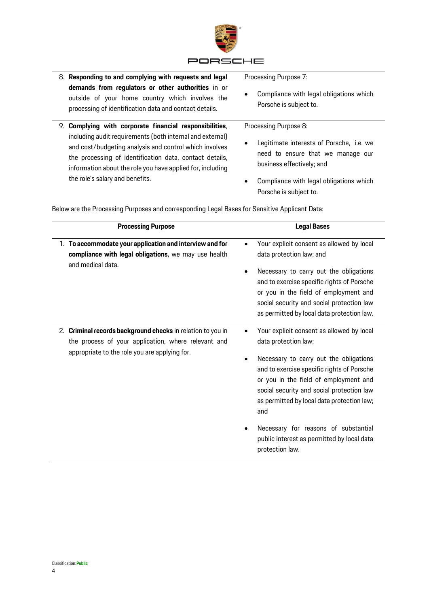

| 8. Responding to and complying with requests and legal                                                                                                                                                                                       | Processing Purpose 7:                                                                                           |
|----------------------------------------------------------------------------------------------------------------------------------------------------------------------------------------------------------------------------------------------|-----------------------------------------------------------------------------------------------------------------|
| demands from regulators or other authorities in or<br>outside of your home country which involves the<br>processing of identification data and contact details.                                                                              | Compliance with legal obligations which<br>٠<br>Porsche is subject to.                                          |
| 9. Complying with corporate financial responsibilities,                                                                                                                                                                                      | Processing Purpose 8:                                                                                           |
| including audit requirements (both internal and external)<br>and cost/budgeting analysis and control which involves<br>the processing of identification data, contact details,<br>information about the role you have applied for, including | Legitimate interests of Porsche, i.e. we<br>٠<br>need to ensure that we manage our<br>business effectively; and |
| the role's salary and benefits.                                                                                                                                                                                                              | Compliance with legal obligations which<br>$\bullet$<br>Porsche is subject to.                                  |

Below are the Processing Purposes and corresponding Legal Bases for Sensitive Applicant Data:

| <b>Processing Purpose</b>                                                                                                                                           | <b>Legal Bases</b>                                                                                                                                                                                                                                                                                                                                                                                            |
|---------------------------------------------------------------------------------------------------------------------------------------------------------------------|---------------------------------------------------------------------------------------------------------------------------------------------------------------------------------------------------------------------------------------------------------------------------------------------------------------------------------------------------------------------------------------------------------------|
| 1. To accommodate your application and interview and for<br>compliance with legal obligations, we may use health<br>and medical data.                               | Your explicit consent as allowed by local<br>$\bullet$<br>data protection law; and<br>Necessary to carry out the obligations<br>$\bullet$<br>and to exercise specific rights of Porsche<br>or you in the field of employment and<br>social security and social protection law<br>as permitted by local data protection law.                                                                                   |
| 2. Criminal records background checks in relation to you in<br>the process of your application, where relevant and<br>appropriate to the role you are applying for. | Your explicit consent as allowed by local<br>data protection law;<br>Necessary to carry out the obligations<br>and to exercise specific rights of Porsche<br>or you in the field of employment and<br>social security and social protection law<br>as permitted by local data protection law;<br>and<br>Necessary for reasons of substantial<br>public interest as permitted by local data<br>protection law. |

j.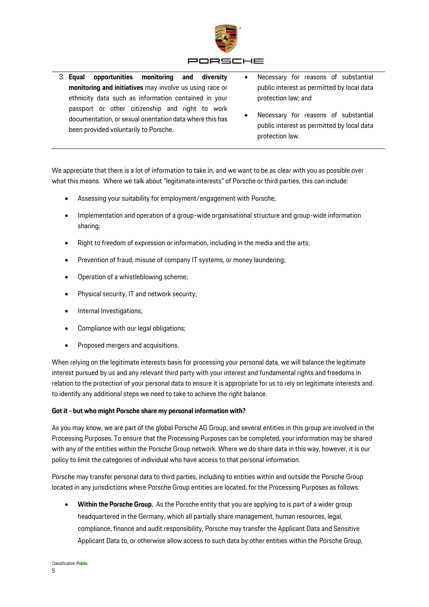

3. **Equal opportunities monitoring and diversity monitoring and initiatives** may involve us using race or ethnicity data such as information contained in your passport or other citizenship and right to work documentation, or sexual orientation data where this has been provided voluntarily to Porsche. Necessary for reasons of substantial public interest as permitted by local data protection law; and Necessary for reasons of substantial public interest as permitted by local data protection law.

We appreciate that there is a lot of information to take in, and we want to be as clear with you as possible over what this means. Where we talk about "legitimate interests" of Porsche or third parties, this can include:

- Assessing your suitability for employment/engagement with Porsche;
- Implementation and operation of a group-wide organisational structure and group-wide information sharing;
- Right to freedom of expression or information, including in the media and the arts;
- Prevention of fraud, misuse of company IT systems, or money laundering;
- Operation of a whistleblowing scheme;
- Physical security, IT and network security;
- Internal Investigations;
- Compliance with our legal obligations;
- Proposed mergers and acquisitions.

When relying on the legitimate interests basis for processing your personal data, we will balance the legitimate interest pursued by us and any relevant third party with your interest and fundamental rights and freedoms in relation to the protection of your personal data to ensure it is appropriate for us to rely on legitimate interests and to identify any additional steps we need to take to achieve the right balance.

# <span id="page-4-0"></span>**Got it - but who might Porsche share my personal information with?**

As you may know, we are part of the global Porsche AG Group, and several entities in this group are involved in the Processing Purposes. To ensure that the Processing Purposes can be completed, your information may be shared with any of the entities within the Porsche Group network. Where we do share data in this way, however, it is our policy to limit the categories of individual who have access to that personal information.

Porsche may transfer personal data to third parties, including to entities within and outside the Porsche Group located in any jurisdictions where Porsche Group entities are located, for the Processing Purposes as follows:

 **Within the Porsche Group.** As the Porsche entity that you are applying to is part of a wider group headquartered in the Germany, which all partially share management, human resources, legal, compliance, finance and audit responsibility, Porsche may transfer the Applicant Data and Sensitive Applicant Data to, or otherwise allow access to such data by other entities within the Porsche Group,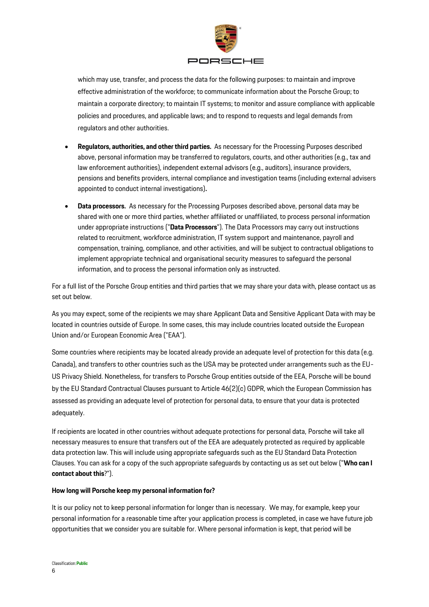

which may use, transfer, and process the data for the following purposes: to maintain and improve effective administration of the workforce; to communicate information about the Porsche Group; to maintain a corporate directory; to maintain IT systems; to monitor and assure compliance with applicable policies and procedures, and applicable laws; and to respond to requests and legal demands from regulators and other authorities.

- **Regulators, authorities, and other third parties.** As necessary for the Processing Purposes described above, personal information may be transferred to regulators, courts, and other authorities (e.g., tax and law enforcement authorities), independent external advisors (e.g., auditors), insurance providers, pensions and benefits providers, internal compliance and investigation teams (including external advisers appointed to conduct internal investigations)**.**
- **Data processors.** As necessary for the Processing Purposes described above, personal data may be shared with one or more third parties, whether affiliated or unaffiliated, to process personal information under appropriate instructions ("**Data Processors**"). The Data Processors may carry out instructions related to recruitment, workforce administration, IT system support and maintenance, payroll and compensation, training, compliance, and other activities, and will be subject to contractual obligations to implement appropriate technical and organisational security measures to safeguard the personal information, and to process the personal information only as instructed.

For a full list of the Porsche Group entities and third parties that we may share your data with, please contact us as set out below.

As you may expect, some of the recipients we may share Applicant Data and Sensitive Applicant Data with may be located in countries outside of Europe. In some cases, this may include countries located outside the European Union and/or European Economic Area ("EAA").

Some countries where recipients may be located already provide an adequate level of protection for this data (e.g. Canada), and transfers to other countries such as the USA may be protected under arrangements such as the EU-US Privacy Shield. Nonetheless, for transfers to Porsche Group entities outside of the EEA, Porsche will be bound by the EU Standard Contractual Clauses pursuant to Article 46(2)(c) GDPR, which the European Commission has assessed as providing an adequate level of protection for personal data, to ensure that your data is protected adequately.

If recipients are located in other countries without adequate protections for personal data, Porsche will take all necessary measures to ensure that transfers out of the EEA are adequately protected as required by applicable data protection law. This will include using appropriate safeguards such as the EU Standard Data Protection Clauses. You can ask for a copy of the such appropriate safeguards by contacting us as set out below ("**Who can I contact about this**?").

#### <span id="page-5-0"></span>**How long will Porsche keep my personal information for?**

It is our policy not to keep personal information for longer than is necessary. We may, for example, keep your personal information for a reasonable time after your application process is completed, in case we have future job opportunities that we consider you are suitable for. Where personal information is kept, that period will be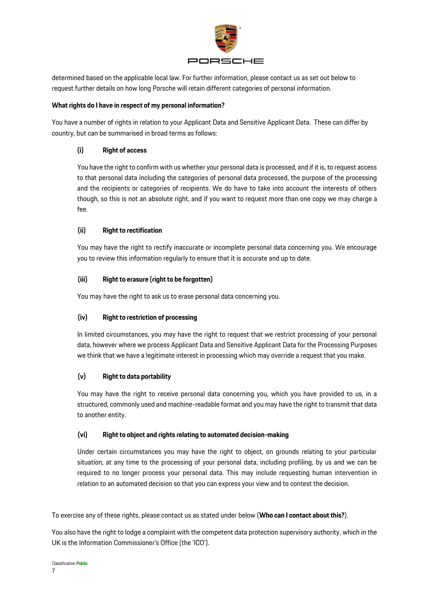

determined based on the applicable local law. For further information, please contact us as set out below to request further details on how long Porsche will retain different categories of personal information.

# <span id="page-6-0"></span>**What rights do I have in respect of my personal information?**

You have a number of rights in relation to your Applicant Data and Sensitive Applicant Data. These can differ by country, but can be summarised in broad terms as follows:

## **(i) Right of access**

You have the right to confirm with us whether your personal data is processed, and if it is, to request access to that personal data including the categories of personal data processed, the purpose of the processing and the recipients or categories of recipients. We do have to take into account the interests of others though, so this is not an absolute right, and if you want to request more than one copy we may charge a fee.

## **(ii) Right to rectification**

You may have the right to rectify inaccurate or incomplete personal data concerning you. We encourage you to review this information regularly to ensure that it is accurate and up to date.

## **(iii) Right to erasure (right to be forgotten)**

You may have the right to ask us to erase personal data concerning you.

# **(iv) Right to restriction of processing**

In limited circumstances, you may have the right to request that we restrict processing of your personal data, however where we process Applicant Data and Sensitive Applicant Data for the Processing Purposes we think that we have a legitimate interest in processing which may override a request that you make.

# **(v) Right to data portability**

You may have the right to receive personal data concerning you, which you have provided to us, in a structured, commonly used and machine-readable format and you may have the right to transmit that data to another entity.

#### **(vi) Right to object and rights relating to automated decision-making**

Under certain circumstances you may have the right to object, on grounds relating to your particular situation, at any time to the processing of your personal data, including profiling, by us and we can be required to no longer process your personal data. This may include requesting human intervention in relation to an automated decision so that you can express your view and to contest the decision.

To exercise any of these rights, please contact us as stated under below (**Who can I contact about this?**).

You also have the right to lodge a complaint with the competent data protection supervisory authority, which in the UK is the Information Commissioner's Office (the 'ICO').